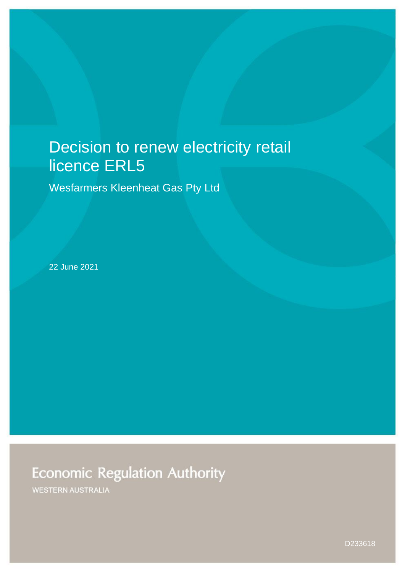# Decision to renew electricity retail licence ERL5

Wesfarmers Kleenheat Gas Pty Ltd

22 June 2021

# **Economic Regulation Authority**

**WESTERN AUSTRALIA**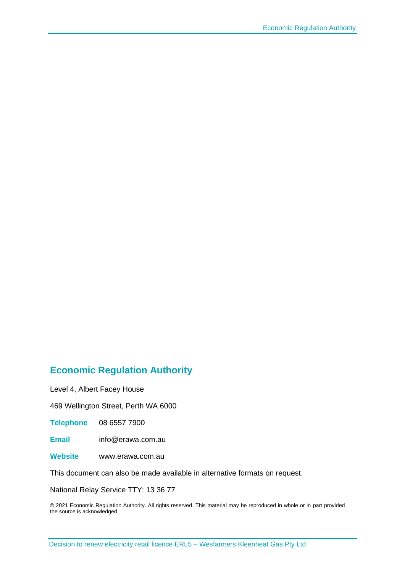#### **Economic Regulation Authority**

Level 4, Albert Facey House

469 Wellington Street, Perth WA 6000

**Telephone** 08 6557 7900

**Email** info@erawa.com.au

**Website** www.erawa.com.au

This document can also be made available in alternative formats on request.

National Relay Service TTY: 13 36 77

© 2021 Economic Regulation Authority. All rights reserved. This material may be reproduced in whole or in part provided the source is acknowledged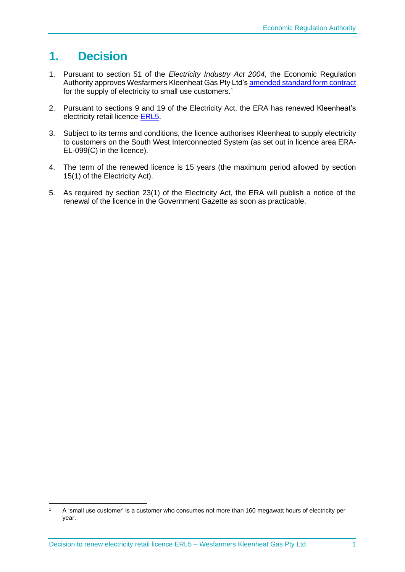## **1. Decision**

- 1. Pursuant to section 51 of the *Electricity Industry Act 2004*, the Economic Regulation Authority approves Wesfarmers Kleenheat Gas Pty Ltd'[s amended standard form contract](http://www.erawa.com.au/cproot/22012/2/Standard-form-contract---Wesfarmers-Kleenheat-Gas---June-2021---ERL005.PDF) for the supply of electricity to small use customers.<sup>1</sup>
- 2. Pursuant to sections 9 and 19 of the Electricity Act, the ERA has renewed Kleenheat's electricity retail licence [ERL5.](http://www.erawa.com.au/cproot/22011/2/Electricity-Retail-Licence-5-Version-8-26-June-2021---ERL005---Wesfarmers-Kleenheat-Gas-Pty-Ltd.PDF)
- 3. Subject to its terms and conditions, the licence authorises Kleenheat to supply electricity to customers on the South West Interconnected System (as set out in licence area ERA-EL-099(C) in the licence).
- 4. The term of the renewed licence is 15 years (the maximum period allowed by section 15(1) of the Electricity Act).
- 5. As required by section 23(1) of the Electricity Act, the ERA will publish a notice of the renewal of the licence in the Government Gazette as soon as practicable.

 $1 - A$  'small use customer' is a customer who consumes not more than 160 megawatt hours of electricity per year.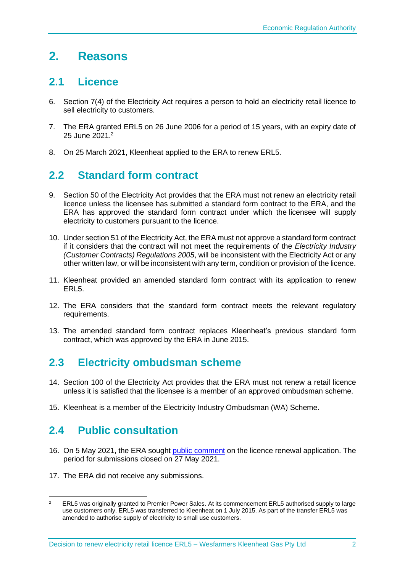# **2. Reasons**

#### **2.1 Licence**

- 6. Section 7(4) of the Electricity Act requires a person to hold an electricity retail licence to sell electricity to customers.
- 7. The ERA granted ERL5 on 26 June 2006 for a period of 15 years, with an expiry date of 25 June 2021. 2
- 8. On 25 March 2021, Kleenheat applied to the ERA to renew ERL5.

## **2.2 Standard form contract**

- 9. Section 50 of the Electricity Act provides that the ERA must not renew an electricity retail licence unless the licensee has submitted a standard form contract to the ERA, and the ERA has approved the standard form contract under which the licensee will supply electricity to customers pursuant to the licence.
- 10. Under section 51 of the Electricity Act, the ERA must not approve a standard form contract if it considers that the contract will not meet the requirements of the *Electricity Industry (Customer Contracts) Regulations 2005*, will be inconsistent with the Electricity Act or any other written law, or will be inconsistent with any term, condition or provision of the licence.
- 11. Kleenheat provided an amended standard form contract with its application to renew ERL5.
- 12. The ERA considers that the standard form contract meets the relevant regulatory requirements.
- 13. The amended standard form contract replaces Kleenheat's previous standard form contract, which was approved by the ERA in June 2015.

## **2.3 Electricity ombudsman scheme**

- 14. Section 100 of the Electricity Act provides that the ERA must not renew a retail licence unless it is satisfied that the licensee is a member of an approved ombudsman scheme.
- 15. Kleenheat is a member of the Electricity Industry Ombudsman (WA) Scheme.

### **2.4 Public consultation**

- 16. On 5 May 2021, the ERA sought [public comment](https://www.erawa.com.au/cproot/21902/2/Notice---Consultation-on-licence-renewal-application---Wesfarmers-Kleenheat-Gas---ERL005.pdf) on the licence renewal application. The period for submissions closed on 27 May 2021.
- 17. The ERA did not receive any submissions.

<sup>&</sup>lt;sup>2</sup> ERL5 was originally granted to Premier Power Sales. At its commencement ERL5 authorised supply to large use customers only. ERL5 was transferred to Kleenheat on 1 July 2015. As part of the transfer ERL5 was amended to authorise supply of electricity to small use customers.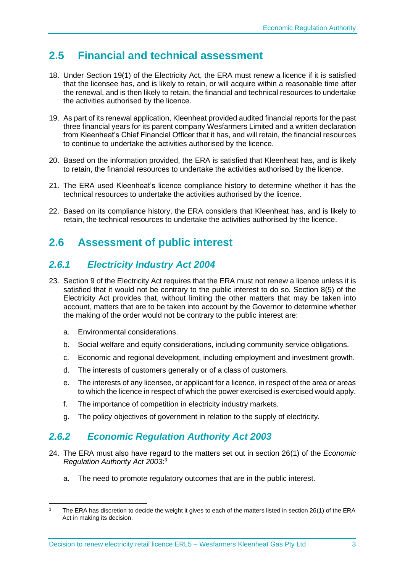## **2.5 Financial and technical assessment**

- 18. Under Section 19(1) of the Electricity Act, the ERA must renew a licence if it is satisfied that the licensee has, and is likely to retain, or will acquire within a reasonable time after the renewal, and is then likely to retain, the financial and technical resources to undertake the activities authorised by the licence.
- 19. As part of its renewal application, Kleenheat provided audited financial reports for the past three financial years for its parent company Wesfarmers Limited and a written declaration from Kleenheat's Chief Financial Officer that it has, and will retain, the financial resources to continue to undertake the activities authorised by the licence.
- 20. Based on the information provided, the ERA is satisfied that Kleenheat has, and is likely to retain, the financial resources to undertake the activities authorised by the licence.
- 21. The ERA used Kleenheat's licence compliance history to determine whether it has the technical resources to undertake the activities authorised by the licence.
- 22. Based on its compliance history, the ERA considers that Kleenheat has, and is likely to retain, the technical resources to undertake the activities authorised by the licence.

### **2.6 Assessment of public interest**

#### *2.6.1 Electricity Industry Act 2004*

- 23. Section 9 of the Electricity Act requires that the ERA must not renew a licence unless it is satisfied that it would not be contrary to the public interest to do so. Section 8(5) of the Electricity Act provides that, without limiting the other matters that may be taken into account, matters that are to be taken into account by the Governor to determine whether the making of the order would not be contrary to the public interest are:
	- a. Environmental considerations.
	- b. Social welfare and equity considerations, including community service obligations.
	- c. Economic and regional development, including employment and investment growth.
	- d. The interests of customers generally or of a class of customers.
	- e. The interests of any licensee, or applicant for a licence, in respect of the area or areas to which the licence in respect of which the power exercised is exercised would apply.
	- f. The importance of competition in electricity industry markets.
	- g. The policy objectives of government in relation to the supply of electricity.

#### *2.6.2 Economic Regulation Authority Act 2003*

- 24. The ERA must also have regard to the matters set out in section 26(1) of the *Economic Regulation Authority Act 2003*: 3
	- a. The need to promote regulatory outcomes that are in the public interest.

<sup>&</sup>lt;sup>3</sup> The ERA has discretion to decide the weight it gives to each of the matters listed in section 26(1) of the ERA Act in making its decision.